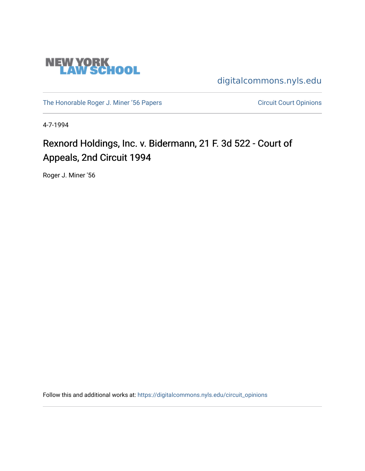

[digitalcommons.nyls.edu](https://digitalcommons.nyls.edu/) 

[The Honorable Roger J. Miner '56 Papers](https://digitalcommons.nyls.edu/miner_papers) Circuit Court Opinions

4-7-1994

# Rexnord Holdings, Inc. v. Bidermann, 21 F. 3d 522 - Court of Appeals, 2nd Circuit 1994

Roger J. Miner '56

Follow this and additional works at: [https://digitalcommons.nyls.edu/circuit\\_opinions](https://digitalcommons.nyls.edu/circuit_opinions?utm_source=digitalcommons.nyls.edu%2Fcircuit_opinions%2F400&utm_medium=PDF&utm_campaign=PDFCoverPages)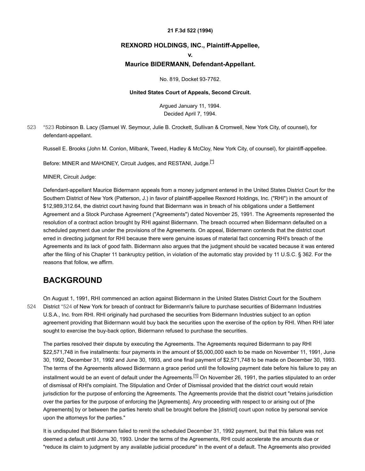#### **21 F.3d 522 (1994)**

## **REXNORD HOLDINGS, INC., Plaintiff-Appellee,**

**v.**

### **Maurice BIDERMANN, Defendant-Appellant.**

No. 819, Docket 93-7762.

#### **United States Court of Appeals, Second Circuit.**

<span id="page-1-2"></span>Argued January 11, 1994. Decided April 7, 1994.

<span id="page-1-0"></span>[\\*523](#page-1-0) Robinson B. Lacy (Samuel W. Seymour, Julie B. Crockett, Sullivan & Cromwell, New York City, of counsel), for defendant-appellant. [523](#page-1-0)

Russell E. Brooks (John M. Conlon, Milbank, Tweed, Hadley & McCloy, New York City, of counsel), for plaintiff-appellee.

Before: MINER and MAHONEY, Circuit Judges, and RESTANI, Judge.<sup>[7]</sup>

MINER, Circuit Judge:

Defendant-appellant Maurice Bidermann appeals from a money judgment entered in the United States District Court for the Southern District of New York (Patterson, J.) in favor of plaintiff-appellee Rexnord Holdings, Inc. ("RHI") in the amount of \$12,989,312.64, the district court having found that Bidermann was in breach of his obligations under a Settlement Agreement and a Stock Purchase Agreement ("Agreements") dated November 25, 1991. The Agreements represented the resolution of a contract action brought by RHI against Bidermann. The breach occurred when Bidermann defaulted on a scheduled payment due under the provisions of the Agreements. On appeal, Bidermann contends that the district court erred in directing judgment for RHI because there were genuine issues of material fact concerning RHI's breach of the Agreements and its lack of good faith. Bidermann also argues that the judgment should be vacated because it was entered after the filing of his Chapter 11 bankruptcy petition, in violation of the automatic stay provided by 11 U.S.C. § 362. For the reasons that follow, we affirm.

## **BACKGROUND**

[524](#page-1-1)

<span id="page-1-1"></span>On August 1, 1991, RHI commenced an action against Bidermann in the United States District Court for the Southern District [\\*524](#page-1-1) of New York for breach of contract for Bidermann's failure to purchase securities of Bidermann Industries U.S.A., Inc. from RHI. RHI originally had purchased the securities from Bidermann Industries subject to an option agreement providing that Bidermann would buy back the securities upon the exercise of the option by RHI. When RHI later sought to exercise the buy-back option, Bidermann refused to purchase the securities.

<span id="page-1-3"></span>The parties resolved their dispute by executing the Agreements. The Agreements required Bidermann to pay RHI \$22,571,748 in five installments: four payments in the amount of \$5,000,000 each to be made on November 11, 1991, June 30, 1992, December 31, 1992 and June 30, 1993, and one final payment of \$2,571,748 to be made on December 30, 1993. The terms of the Agreements allowed Bidermann a grace period until the following payment date before his failure to pay an installment would be an event of default under the Agreements.<sup>[\[1\]](#page-5-1)</sup> On November 26, 1991, the parties stipulated to an order of dismissal of RHI's complaint. The Stipulation and Order of Dismissal provided that the district court would retain jurisdiction for the purpose of enforcing the Agreements. The Agreements provide that the district court "retains jurisdiction over the parties for the purpose of enforcing the [Agreements]. Any proceeding with respect to or arising out of [the Agreements] by or between the parties hereto shall be brought before the [district] court upon notice by personal service upon the attorneys for the parties."

It is undisputed that Bidermann failed to remit the scheduled December 31, 1992 payment, but that this failure was not deemed a default until June 30, 1993. Under the terms of the Agreements, RHI could accelerate the amounts due or "reduce its claim to judgment by any available judicial procedure" in the event of a default. The Agreements also provided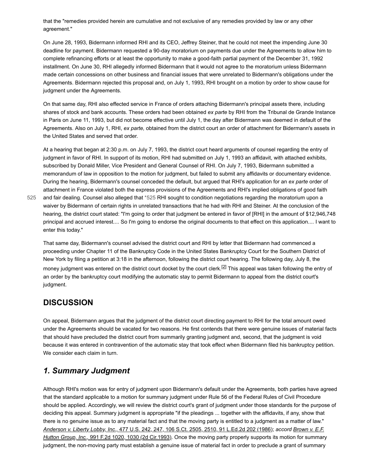that the "remedies provided herein are cumulative and not exclusive of any remedies provided by law or any other agreement."

On June 28, 1993, Bidermann informed RHI and its CEO, Jeffrey Steiner, that he could not meet the impending June 30 deadline for payment. Bidermann requested a 90-day moratorium on payments due under the Agreements to allow him to complete refinancing efforts or at least the opportunity to make a good-faith partial payment of the December 31, 1992 installment. On June 30, RHI allegedly informed Bidermann that it would not agree to the moratorium unless Bidermann made certain concessions on other business and financial issues that were unrelated to Bidermann's obligations under the Agreements. Bidermann rejected this proposal and, on July 1, 1993, RHI brought on a motion by order to show cause for judgment under the Agreements.

On that same day, RHI also effected service in France of orders attaching Bidermann's principal assets there, including shares of stock and bank accounts. These orders had been obtained *ex parte* by RHI from the Tribunal de Grande Instance in Paris on June 11, 1993, but did not become effective until July 1, the day after Bidermann was deemed in default of the Agreements. Also on July 1, RHI, *ex parte,* obtained from the district court an order of attachment for Bidermann's assets in the United States and served that order.

At a hearing that began at 2:30 p.m. on July 7, 1993, the district court heard arguments of counsel regarding the entry of judgment in favor of RHI. In support of its motion, RHI had submitted on July 1, 1993 an affidavit, with attached exhibits, subscribed by Donald Miller, Vice President and General Counsel of RHI. On July 7, 1993, Bidermann submitted a memorandum of law in opposition to the motion for judgment, but failed to submit any affidavits or documentary evidence. During the hearing, Bidermann's counsel conceded the default, but argued that RHI's application for an *ex parte* order of attachment in France violated both the express provisions of the Agreements and RHI's implied obligations of good faith

[525](#page-2-0)

<span id="page-2-0"></span>and fair dealing. Counsel also alleged that [\\*525](#page-2-0) RHI sought to condition negotiations regarding the moratorium upon a waiver by Bidermann of certain rights in unrelated transactions that he had with RHI and Steiner. At the conclusion of the hearing, the district court stated: "I'm going to order that judgment be entered in favor of [RHI] in the amount of \$12,946,748 principal and accrued interest.... So I'm going to endorse the original documents to that effect on this application.... I want to enter this today."

<span id="page-2-1"></span>That same day, Bidermann's counsel advised the district court and RHI by letter that Bidermann had commenced a proceeding under Chapter 11 of the Bankruptcy Code in the United States Bankruptcy Court for the Southern District of New York by filing a petition at 3:18 in the afternoon, following the district court hearing. The following day, July 8, the money judgment was entered on the district court docket by the court clerk.<sup>[\[2\]](#page-5-2)</sup> This appeal was taken following the entry of an order by the bankruptcy court modifying the automatic stay to permit Bidermann to appeal from the district court's judgment.

## **DISCUSSION**

On appeal, Bidermann argues that the judgment of the district court directing payment to RHI for the total amount owed under the Agreements should be vacated for two reasons. He first contends that there were genuine issues of material facts that should have precluded the district court from summarily granting judgment and, second, that the judgment is void because it was entered in contravention of the automatic stay that took effect when Bidermann filed his bankruptcy petition. We consider each claim in turn.

# *1. Summary Judgment*

Although RHI's motion was for entry of judgment upon Bidermann's default under the Agreements, both parties have agreed that the standard applicable to a motion for summary judgment under Rule 56 of the Federal Rules of Civil Procedure should be applied. Accordingly, we will review the district court's grant of judgment under those standards for the purpose of deciding this appeal. Summary judgment is appropriate "if the pleadings ... together with the affidavits, if any, show that there is no genuine issue as to any material fact and that the moving party is entitled to a judgment as a matter of law." *Anderson v. Liberty Lobby, Inc.,* [477 U.S. 242, 247, 106 S.Ct. 2505, 2510, 91 L.Ed.2d 202 \(1986\)](https://scholar.google.com/scholar_case?case=9272001251064530131&q=93-7762&hl=en&as_sdt=6,31); *accord Brown v. E.F. Hutton Group, Inc.,* [991 F.2d 1020, 1030 \(2d Cir.1993\). Once the moving party properly supports its motion for summar](https://scholar.google.com/scholar_case?case=6489121821975601718&q=93-7762&hl=en&as_sdt=6,31)y judgment, the non-moving party must establish a genuine issue of material fact in order to preclude a grant of summary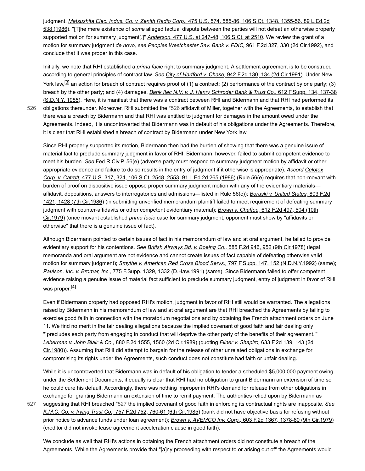judgment. *Matsushita Elec. Indus. Co. v. Zenith Radio Corp.,* 475 U.S. 574, 585-86, 106 S.Ct. 1348, 1355-56, 89 L.Ed.2d 538 (1986). "[T]he mere existence of *some* [alleged factual dispute between the parties will not defeat an otherwise proper](https://scholar.google.com/scholar_case?case=3152975315662722042&q=93-7762&hl=en&as_sdt=6,31)ly supported motion for summary judgment[.]" *Anderson,* [477 U.S. at 247-48, 106 S.Ct. at 2510.](https://scholar.google.com/scholar_case?case=9272001251064530131&q=93-7762&hl=en&as_sdt=6,31) We review the grant of a motion for summary judgment *de novo, see [Peoples Westchester Sav. Bank v. FDIC,](https://scholar.google.com/scholar_case?case=773094171007869708&q=93-7762&hl=en&as_sdt=6,31)* 961 F.2d 327, 330 (2d Cir.1992), and conclude that it was proper in this case.

<span id="page-3-2"></span>Initially, we note that RHI established a *prima facie* right to summary judgment. A settlement agreement is to be construed according to general principles of contract law. *See City of Hartford v. Chase,* [942 F.2d 130, 134 \(2d Cir.1991\).](https://scholar.google.com/scholar_case?case=16326118898339654394&q=93-7762&hl=en&as_sdt=6,31) Under New York law,<sup>[\[3\]](#page-5-3)</sup> an action for breach of contract requires proof of (1) a contract; (2) performance of the contract by one party; (3) breach by the other party; and (4) damages. *Bank Itec N.V. v. J. Henry Schroder Bank & Trust Co.,* 612 F.Supp. 134, 137-38 [\(S.D.N.Y. 1985\). Here, it is manifest that there was a contract between RHI and Bidermann and that RHI had performed its](https://scholar.google.com/scholar_case?case=534408996158086206&q=93-7762&hl=en&as_sdt=6,31) obligations thereunder. Moreover, RHI submitted the [\\*526](#page-3-0) affidavit of Miller, together with the Agreements, to establish that there was a breach by Bidermann and that RHI was entitled to judgment for damages in the amount owed under the Agreements. Indeed, it is uncontroverted that Bidermann was in default of his obligations under the Agreements. Therefore, it is clear that RHI established a breach of contract by Bidermann under New York law.

<span id="page-3-0"></span>Since RHI properly supported its motion, Bidermann then had the burden of showing that there was a genuine issue of material fact to preclude summary judgment in favor of RHI. Bidermann, however, failed to submit competent evidence to meet his burden. *See* Fed.R.Civ.P. 56(e) (adverse party must respond to summary judgment motion by affidavit or other [appropriate evidence and failure to do so results in the entry of judgment if it otherwise is appropriate\).](https://scholar.google.com/scholar_case?case=774572446857633137&q=93-7762&hl=en&as_sdt=6,31) *Accord Celotex Corp. v. Catrett,* 477 U.S. 317, 324, 106 S.Ct. 2548, 2553, 91 L.Ed.2d 265 (1986) (Rule 56(e) requires that non-movant with burden of proof on dispositive issue oppose proper summary judgment motion with any of the evidentiary materials affidavit, depositions, answers to interrogatories and admissions—listed in Rule 56(c)); *Boruski v. United States,* 803 F.2d [1421, 1428 \(7th Cir.1986\) \(in submitting unverified memorandum plaintiff failed to meet requirement of defeating summary](https://scholar.google.com/scholar_case?case=17283443602160495750&q=93-7762&hl=en&as_sdt=6,31) [judgment with counter-affidavits or other competent evidentiary material\);](https://scholar.google.com/scholar_case?case=12860978386261558513&q=93-7762&hl=en&as_sdt=6,31) *Brown v. Chaffee,* 612 F.2d 497, 504 (10th Cir.1979) (once movant established *prima facie* case for summary judgment, opponent must show by "affidavits or otherwise" that there is a genuine issue of fact).

Although Bidermann pointed to certain issues of fact in his memorandum of law and at oral argument, he failed to provide evidentiary support for his contentions. *See [British Airways Bd. v. Boeing Co.,](https://scholar.google.com/scholar_case?case=9264724828111348525&q=93-7762&hl=en&as_sdt=6,31)* 585 F.2d 946, 952 (9th Cir.1978) (legal memoranda and oral argument are not evidence and cannot create issues of fact capable of defeating otherwise valid motion for summary judgment); *[Smythe v. American Red Cross Blood Servs.,](https://scholar.google.com/scholar_case?case=13248774246036240912&q=93-7762&hl=en&as_sdt=6,31)* 797 F.Supp. 147, 152 (N.D.N.Y.1992) (same); *Paulson, Inc. v. Bromar, Inc.,* [775 F.Supp. 1329, 1332 \(D.Haw.1991\)](https://scholar.google.com/scholar_case?case=4950190337517389408&q=93-7762&hl=en&as_sdt=6,31) (same). Since Bidermann failed to offer competent evidence raising a genuine issue of material fact sufficient to preclude summary judgment, entry of judgment in favor of RHI was proper.<sup>[<u>4</u>]</sup>

<span id="page-3-3"></span>Even if Bidermann properly had opposed RHI's motion, judgment in favor of RHI still would be warranted. The allegations raised by Bidermann in his memorandum of law and at oral argument are that RHI breached the Agreements by failing to exercise good faith in connection with the moratorium negotiations and by obtaining the French attachment orders on June 11. We find no merit in the fair dealing allegations because the implied covenant of good faith and fair dealing only "`precludes each party from engaging in conduct that will deprive the other party of the benefits of their agreement.'" *Leberman v. John Blair & Co.,* [880 F.2d 1555, 1560 \(2d Cir.1989\)](https://scholar.google.com/scholar_case?case=8548787645499396554&q=93-7762&hl=en&as_sdt=6,31) (quoting *Filner v. Shapiro,* 633 F.2d 139, 143 (2d [Cir.1980\)\). Assuming that RHI did attempt to bargain for the release of other unrelated obligations in exchange for](https://scholar.google.com/scholar_case?case=8363832099258886739&q=93-7762&hl=en&as_sdt=6,31) compromising its rights under the Agreements, such conduct does not constitute bad faith or unfair dealing.

<span id="page-3-1"></span>While it is uncontroverted that Bidermann was in default of his obligation to tender a scheduled \$5,000,000 payment owing under the Settlement Documents, it equally is clear that RHI had no obligation to grant Bidermann an extension of time so he could cure his default. Accordingly, there was nothing improper in RHI's demand for release from other obligations in exchange for granting Bidermann an extension of time to remit payment. The authorities relied upon by Bidermann as

suggesting that RHI breached [\\*527](#page-3-1) the implied covenant of good faith in enforcing its contractual rights are inapposite. *See K.M.C. Co. v. Irving Trust Co.,* [757 F.2d 752, 760-61 \(6th Cir.1985\)](https://scholar.google.com/scholar_case?case=9333460403432722691&q=93-7762&hl=en&as_sdt=6,31) (bank did not have objective basis for refusing without prior notice to advance funds under loan agreement); *Brown v. AVEMCO Inv. Corp.,* [603 F.2d 1367, 1378-80 \(9th Cir.1979\)](https://scholar.google.com/scholar_case?case=14999081417776164785&q=93-7762&hl=en&as_sdt=6,31) (creditor did not invoke lease agreement acceleration clause in good faith). [527](#page-3-1)

We conclude as well that RHI's actions in obtaining the French attachment orders did not constitute a breach of the Agreements. While the Agreements provide that "[a]ny proceeding with respect to or arising out of" the Agreements would

[526](#page-3-0)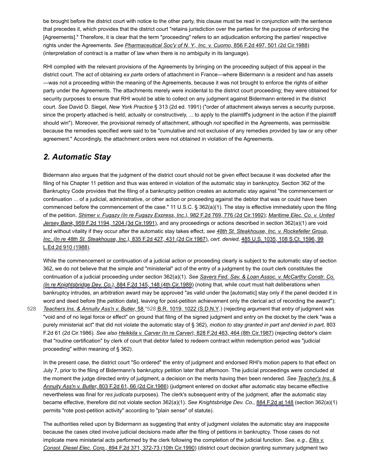be brought before the district court with notice to the other party, this clause must be read in conjunction with the sentence that precedes it, which provides that the district court "retains jurisdiction over the parties for the purpose of enforcing the [Agreements]." Therefore, it is clear that the term "proceeding" refers to an adjudication enforcing the parties' respective rights under the Agreements. *See [Pharmaceutical Soc'y of N. Y., Inc. v. Cuomo,](https://scholar.google.com/scholar_case?case=4150310340520630269&q=93-7762&hl=en&as_sdt=6,31)* 856 F.2d 497, 501 (2d Cir.1988) (interpretation of contract is a matter of law when there is no ambiguity in its language).

RHI complied with the relevant provisions of the Agreements by bringing on the proceeding subject of this appeal in the district court. The act of obtaining *ex parte* orders of attachment in France—where Bidermann is a resident and has assets —was not a proceeding within the meaning of the Agreements, because it was not brought to enforce the rights of either party under the Agreements. The attachments merely were incidental to the district court proceeding; they were obtained for security purposes to ensure that RHI would be able to collect on any judgment against Bidermann entered in the district court. *See* David D. Siegel, *New York Practice* § 313 (2d ed. 1991) ("order of attachment always serves a security purpose, since the property attached is held, actually or constructively, ... to apply to the plaintiff's judgment in the action if the plaintiff should win"). Moreover, the provisional remedy of attachment, although *not* specified in the Agreements, was permissible because the remedies specified were said to be "cumulative and not exclusive of any remedies provided by law or any other agreement." Accordingly, the attachment orders were not obtained in violation of the Agreements.

## *2. Automatic Stay*

Bidermann also argues that the judgment of the district court should not be given effect because it was docketed after the filing of his Chapter 11 petition and thus was entered in violation of the automatic stay in bankruptcy. Section 362 of the Bankruptcy Code provides that the filing of a bankruptcy petition creates an automatic stay against "the commencement or continuation ... of a judicial, administrative, or other action or proceeding against the debtor that was or could have been commenced before the commencement of the case." 11 U.S.C. § 362(a)(1). The stay is effective immediately upon the filing of the petition, *[Shimer v. Fugazy \(In re Fugazy Express, Inc.\),](https://scholar.google.com/scholar_case?case=15138750319688093442&q=93-7762&hl=en&as_sdt=6,31)* 982 F.2d 769, 776 (2d Cir.1992); *Maritime Elec. Co. v. United Jersey Bank,* [959 F.2d 1194, 1204 \(3d Cir.1991\), and any proceedings or actions described in section 362\(a\)\(1\) are void](https://scholar.google.com/scholar_case?case=784308422246326234&q=93-7762&hl=en&as_sdt=6,31) [and without vitality if they occur after the automatic stay takes effect,](https://scholar.google.com/scholar_case?case=6828025644449505652&q=93-7762&hl=en&as_sdt=6,31) *see 48th St. Steakhouse, Inc. v. Rockefeller Group, [Inc. \(In re 48th St. Steakhouse, Inc.\),](https://scholar.google.com/scholar_case?about=15007660777757707969&q=93-7762&hl=en&as_sdt=6,31)* 835 F.2d 427, 431 (2d Cir.1987), *cert. denied,* 485 U.S. 1035, 108 S.Ct. 1596, 99 L.Ed.2d 910 (1988).

<span id="page-4-0"></span>While the commencement or continuation of a judicial action or proceeding clearly is subject to the automatic stay of section 362, we do not believe that the simple and "ministerial" act of the entry of a judgment by the court clerk constitutes the continuation of a judicial proceeding under section 362(a)(1). *See Savers Fed. Sav. & Loan Assoc. v. McCarthy Constr. Co. (In re Knightsbridge Dev. Co.),* [884 F.2d 145, 148 \(4th Cir.1989\) \(noting that, while court must halt deliberations when](https://scholar.google.com/scholar_case?about=4303178166041824582&q=93-7762&hl=en&as_sdt=6,31) bankruptcy intrudes, an arbitration award may be approved "as valid under the [automatic] stay only if the panel decided it in word and deed before [the petition date], leaving for post-petition achievement only the clerical act of recording the award");

*[Teachers Ins. & Annuity Ass'n v. Butler,](https://scholar.google.com/scholar_case?case=1863448574930905034&q=93-7762&hl=en&as_sdt=6,31)* 58 [\\*528](#page-4-0) [B.R. 1019, 1022 \(S.D.N.Y](https://scholar.google.com/scholar_case?case=1863448574930905034&q=93-7762&hl=en&as_sdt=6,31).) (rejecting argument that *entry* of judgment was "void and of no legal force or effect" on ground that filing of the signed judgment and entry on the docket by the clerk "was a purely ministerial act" that did not violate the automatic stay of § 362), *motion to stay granted in part and denied in part,* 803 F.2d 61 (2d Cir.1986). *See also Heikkila v. Carver (In re Carver),* [828 F.2d 463, 464 \(8th Cir.1987\)](https://scholar.google.com/scholar_case?case=17217583559474431608&q=93-7762&hl=en&as_sdt=6,31) (rejecting debtor's claim that "routine certification" by clerk of court that debtor failed to redeem contract within redemption period was "judicial proceeding" within meaning of § 362). [528](#page-4-0)

In the present case, the district court "So ordered" the entry of judgment and endorsed RHI's motion papers to that effect on July 7, prior to the filing of Bidermann's bankruptcy petition later that afternoon. The judicial proceedings were concluded at [the moment the judge directed entry of judgment, a decision on the merits having then been rendered.](https://scholar.google.com/scholar_case?case=16607299492731099216&q=93-7762&hl=en&as_sdt=6,31) *See Teacher's Ins. & Annuity Ass'n v. Butler,* 803 F.2d 61, 66 (2d Cir.1986) (judgment entered on docket after automatic stay became effective nevertheless was final for *res judicata* purposes). The clerk's subsequent entry of the judgment, after the automatic stay became effective, therefore did not violate section 362(a)(1). *See Knightsbridge Dev. Co.,* [884 F.2d at 148](https://scholar.google.com/scholar_case?about=4303178166041824582&q=93-7762&hl=en&as_sdt=6,31) (section 362(a)(1) permits "rote post-petition activity" according to "plain sense" of statute).

The authorities relied upon by Bidermann as suggesting that entry of judgment violates the automatic stay are inapposite because the cases cited involve judicial decisions made after the filing of petitions in bankruptcy. Those cases do not [implicate mere ministerial acts performed by the clerk following the completion of the judicial function.](https://scholar.google.com/scholar_case?case=11109864319405152544&q=93-7762&hl=en&as_sdt=6,31) *See, e.g., Ellis v. Consol. Diesel Elec. Corp.,* 894 F.2d 371, 372-73 (10th Cir.1990) (district court decision granting summary judgment two